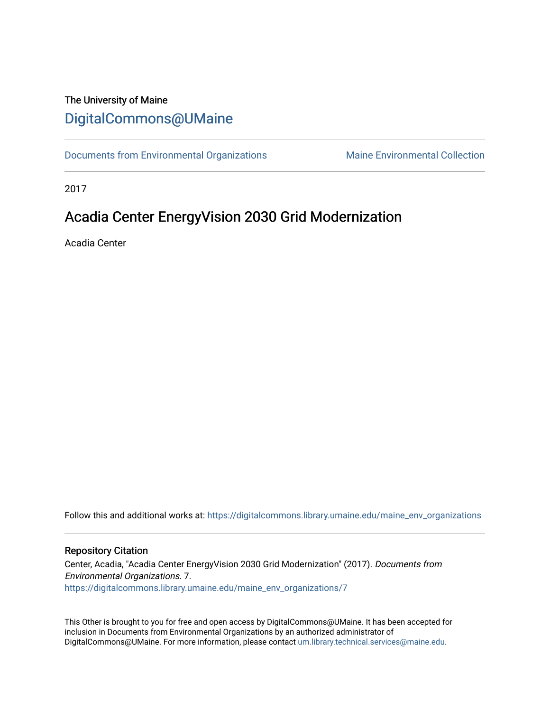#### The University of Maine [DigitalCommons@UMaine](https://digitalcommons.library.umaine.edu/)

[Documents from Environmental Organizations](https://digitalcommons.library.umaine.edu/maine_env_organizations) Maine Environmental Collection

2017

#### Acadia Center EnergyVision 2030 Grid Modernization

Acadia Center

Follow this and additional works at: [https://digitalcommons.library.umaine.edu/maine\\_env\\_organizations](https://digitalcommons.library.umaine.edu/maine_env_organizations?utm_source=digitalcommons.library.umaine.edu%2Fmaine_env_organizations%2F7&utm_medium=PDF&utm_campaign=PDFCoverPages)

#### Repository Citation

Center, Acadia, "Acadia Center EnergyVision 2030 Grid Modernization" (2017). Documents from Environmental Organizations. 7. [https://digitalcommons.library.umaine.edu/maine\\_env\\_organizations/7](https://digitalcommons.library.umaine.edu/maine_env_organizations/7?utm_source=digitalcommons.library.umaine.edu%2Fmaine_env_organizations%2F7&utm_medium=PDF&utm_campaign=PDFCoverPages) 

This Other is brought to you for free and open access by DigitalCommons@UMaine. It has been accepted for inclusion in Documents from Environmental Organizations by an authorized administrator of DigitalCommons@UMaine. For more information, please contact [um.library.technical.services@maine.edu](mailto:um.library.technical.services@maine.edu).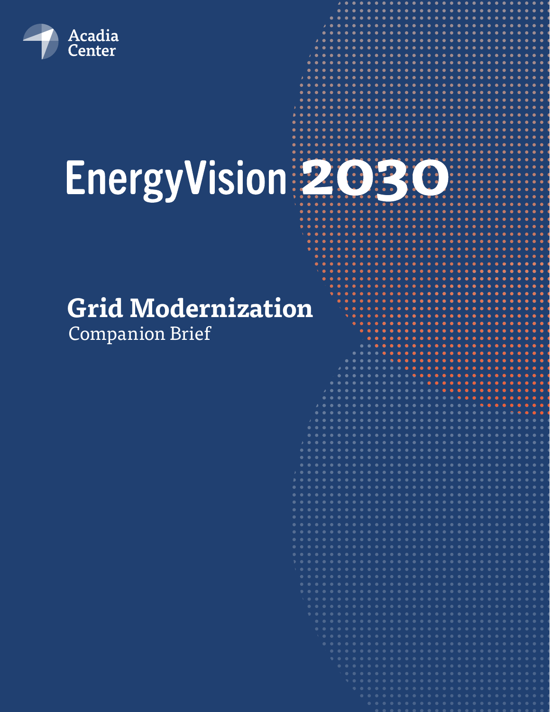

# EnergyVision 2030

## **Grid Modernization**

Companion Brief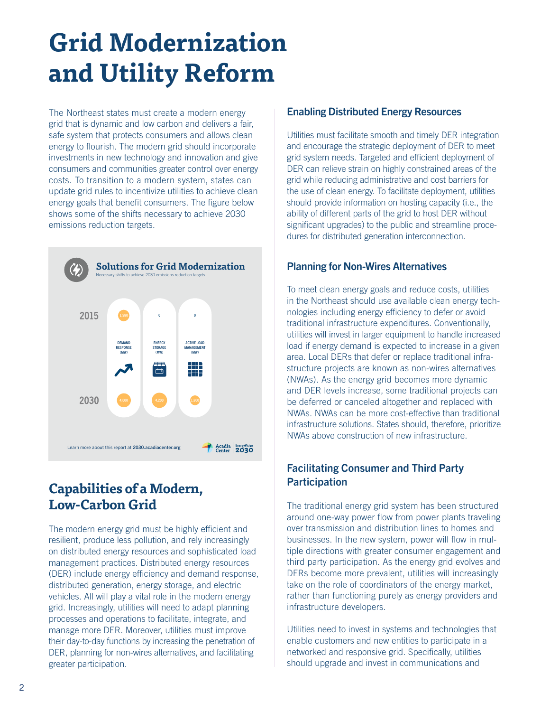### **Grid Modernization and Utility Reform**

The Northeast states must create a modern energy grid that is dynamic and low carbon and delivers a fair, safe system that protects consumers and allows clean energy to flourish. The modern grid should incorporate investments in new technology and innovation and give consumers and communities greater control over energy costs. To transition to a modern system, states can update grid rules to incentivize utilities to achieve clean energy goals that benefit consumers. The figure below shows some of the shifts necessary to achieve 2030 emissions reduction targets.



#### **Capabilities of a Modern, Low-Carbon Grid**

The modern energy grid must be highly efficient and resilient, produce less pollution, and rely increasingly on distributed energy resources and sophisticated load management practices. Distributed energy resources (DER) include energy efficiency and demand response, distributed generation, energy storage, and electric vehicles. All will play a vital role in the modern energy grid. Increasingly, utilities will need to adapt planning processes and operations to facilitate, integrate, and manage more DER. Moreover, utilities must improve their day-to-day functions by increasing the penetration of DER, planning for non-wires alternatives, and facilitating greater participation.

#### Enabling Distributed Energy Resources

Utilities must facilitate smooth and timely DER integration and encourage the strategic deployment of DER to meet grid system needs. Targeted and efficient deployment of DER can relieve strain on highly constrained areas of the grid while reducing administrative and cost barriers for the use of clean energy. To facilitate deployment, utilities should provide information on hosting capacity (i.e., the ability of different parts of the grid to host DER without significant upgrades) to the public and streamline procedures for distributed generation interconnection.

#### Planning for Non-Wires Alternatives

To meet clean energy goals and reduce costs, utilities in the Northeast should use available clean energy technologies including energy efficiency to defer or avoid traditional infrastructure expenditures. Conventionally, utilities will invest in larger equipment to handle increased load if energy demand is expected to increase in a given area. Local DERs that defer or replace traditional infrastructure projects are known as non-wires alternatives (NWAs). As the energy grid becomes more dynamic and DER levels increase, some traditional projects can be deferred or canceled altogether and replaced with NWAs. NWAs can be more cost-effective than traditional infrastructure solutions. States should, therefore, prioritize NWAs above construction of new infrastructure.

#### Facilitating Consumer and Third Party **Participation**

The traditional energy grid system has been structured around one-way power flow from power plants traveling over transmission and distribution lines to homes and businesses. In the new system, power will flow in multiple directions with greater consumer engagement and third party participation. As the energy grid evolves and DERs become more prevalent, utilities will increasingly take on the role of coordinators of the energy market, rather than functioning purely as energy providers and infrastructure developers.

Utilities need to invest in systems and technologies that enable customers and new entities to participate in a networked and responsive grid. Specifically, utilities should upgrade and invest in communications and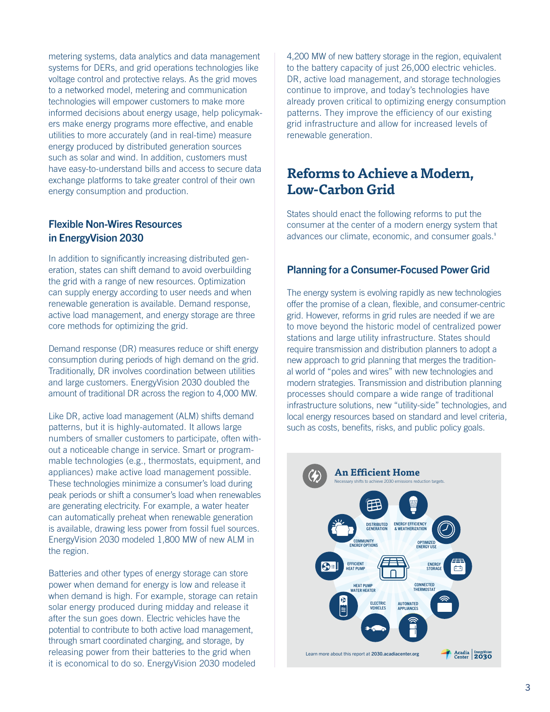metering systems, data analytics and data management systems for DERs, and grid operations technologies like voltage control and protective relays. As the grid moves to a networked model, metering and communication technologies will empower customers to make more informed decisions about energy usage, help policymakers make energy programs more effective, and enable utilities to more accurately (and in real-time) measure energy produced by distributed generation sources such as solar and wind. In addition, customers must have easy-to-understand bills and access to secure data exchange platforms to take greater control of their own energy consumption and production.

#### Flexible Non-Wires Resources in EnergyVision 2030

In addition to significantly increasing distributed generation, states can shift demand to avoid overbuilding the grid with a range of new resources. Optimization can supply energy according to user needs and when renewable generation is available. Demand response, active load management, and energy storage are three core methods for optimizing the grid.

Demand response (DR) measures reduce or shift energy consumption during periods of high demand on the grid. Traditionally, DR involves coordination between utilities and large customers. EnergyVision 2030 doubled the amount of traditional DR across the region to 4,000 MW.

Like DR, active load management (ALM) shifts demand patterns, but it is highly-automated. It allows large numbers of smaller customers to participate, often without a noticeable change in service. Smart or programmable technologies (e.g., thermostats, equipment, and appliances) make active load management possible. These technologies minimize a consumer's load during peak periods or shift a consumer's load when renewables are generating electricity. For example, a water heater can automatically preheat when renewable generation is available, drawing less power from fossil fuel sources. EnergyVision 2030 modeled 1,800 MW of new ALM in the region.

Batteries and other types of energy storage can store power when demand for energy is low and release it when demand is high. For example, storage can retain solar energy produced during midday and release it after the sun goes down. Electric vehicles have the potential to contribute to both active load management, through smart coordinated charging, and storage, by releasing power from their batteries to the grid when it is economical to do so. EnergyVision 2030 modeled

4,200 MW of new battery storage in the region, equivalent to the battery capacity of just 26,000 electric vehicles. DR, active load management, and storage technologies continue to improve, and today's technologies have already proven critical to optimizing energy consumption patterns. They improve the efficiency of our existing grid infrastructure and allow for increased levels of renewable generation.

#### **Reforms to Achieve a Modern, Low-Carbon Grid**

States should enact the following reforms to put the consumer at the center of a modern energy system that advances our climate, economic, and consumer goals.**<sup>1</sup>**

#### Planning for a Consumer-Focused Power Grid

The energy system is evolving rapidly as new technologies offer the promise of a clean, flexible, and consumer-centric grid. However, reforms in grid rules are needed if we are to move beyond the historic model of centralized power stations and large utility infrastructure. States should require transmission and distribution planners to adopt a new approach to grid planning that merges the traditional world of "poles and wires" with new technologies and modern strategies. Transmission and distribution planning processes should compare a wide range of traditional infrastructure solutions, new "utility-side" technologies, and local energy resources based on standard and level criteria, such as costs, benefits, risks, and public policy goals.